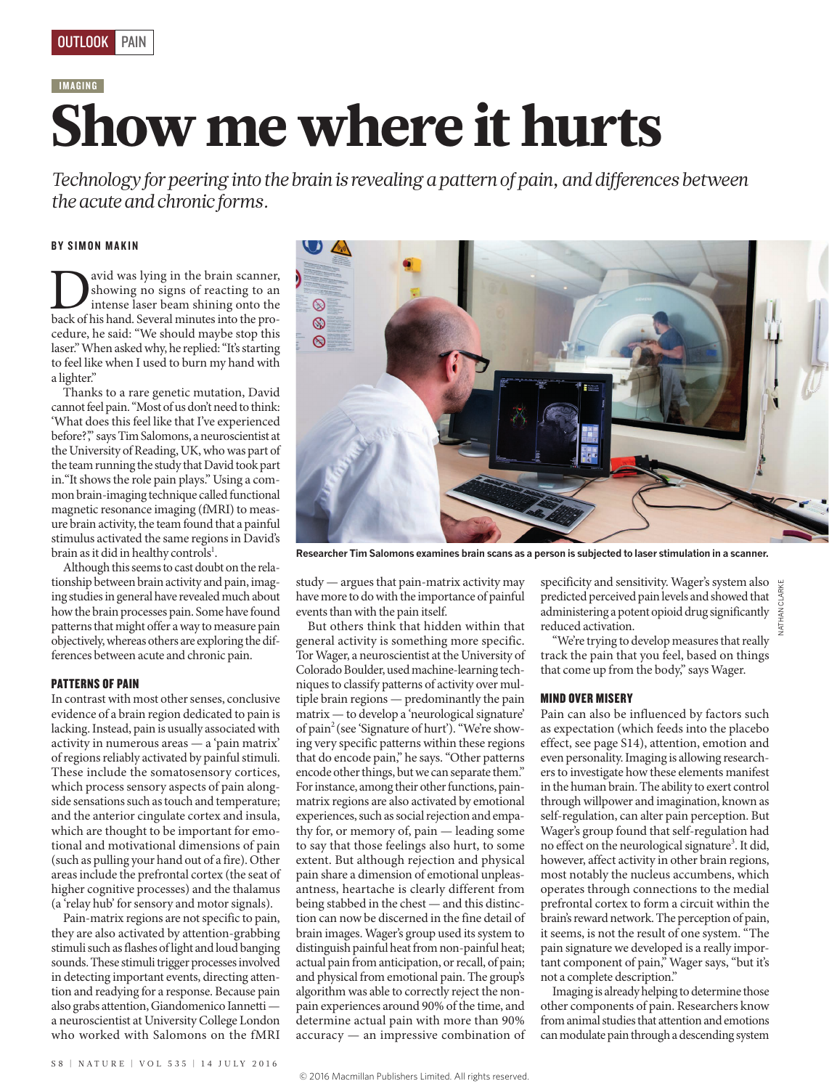

# IMAGING Show me where it hurts

*Technology for peering into the brain is revealing a pattern of pain, and differences between the acute and chronic forms.*

#### BY SIMON MAKIN

avid was lying in the brain scanner,<br>showing no signs of reacting to an<br>back of his hand. Several minutes into the proshowing no signs of reacting to an intense laser beam shining onto the cedure, he said: "We should maybe stop this laser." When asked why, he replied: "It's starting to feel like when I used to burn my hand with a lighter."

Thanks to a rare genetic mutation, David cannot feel pain. "Most of us don't need to think: 'What does this feel like that I've experienced before?'," says Tim Salomons, a neuroscientist at the University of Reading, UK, who was part of the team running the study that David took part in."It shows the role pain plays." Using a common brain-imaging technique called functional magnetic resonance imaging (fMRI) to measure brain activity, the team found that a painful stimulus activated the same regions in David's brain as it did in healthy controls $^{\rm l}$ .

Although this seems to cast doubt on the relationship between brain activity and pain, imaging studies in general have revealed much about how the brain processes pain. Some have found patterns that might offer a way to measure pain objectively, whereas others are exploring the differences between acute and chronic pain.

## PATTERNS OF PAIN

In contrast with most other senses, conclusive evidence of a brain region dedicated to pain is lacking. Instead, pain is usually associated with activity in numerous areas — a 'pain matrix' of regions reliably activated by painful stimuli. These include the somatosensory cortices, which process sensory aspects of pain alongside sensations such as touch and temperature; and the anterior cingulate cortex and insula, which are thought to be important for emotional and motivational dimensions of pain (such as pulling your hand out of a fire). Other areas include the prefrontal cortex (the seat of higher cognitive processes) and the thalamus (a 'relay hub' for sensory and motor signals).

Pain-matrix regions are not specific to pain, they are also activated by attention-grabbing stimuli such as flashes of light and loud banging sounds. These stimuli trigger processes involved in detecting important events, directing attention and readying for a response. Because pain also grabs attention, Giandomenico Iannetti a neuroscientist at University College London who worked with Salomons on the fMRI



**Researcher Tim Salomons examines brain scans as a person is subjected to laser stimulation in a scanner.** 

study — argues that pain-matrix activity may have more to do with the importance of painful events than with the pain itself.

But others think that hidden within that general activity is something more specific. Tor Wager, a neuroscientist at the University of Colorado Boulder, used machine-learning techniques to classify patterns of activity over multiple brain regions — predominantly the pain matrix — to develop a 'neurological signature' of pain<sup>2</sup> (see 'Signature of hurt'). "We're showing very specific patterns within these regions that do encode pain," he says. "Other patterns encode other things, but we can separate them." For instance, among their other functions, painmatrix regions are also activated by emotional experiences, such as social rejection and empathy for, or memory of, pain — leading some to say that those feelings also hurt, to some extent. But although rejection and physical pain share a dimension of emotional unpleasantness, heartache is clearly different from being stabbed in the chest — and this distinction can now be discerned in the fine detail of brain images. Wager's group used its system to distinguish painful heat from non-painful heat; actual pain from anticipation, or recall, of pain; and physical from emotional pain. The group's algorithm was able to correctly reject the nonpain experiences around 90% of the time, and determine actual pain with more than 90% accuracy — an impressive combination of specificity and sensitivity. Wager's system also predicted perceived pain levels and showed that administering a potent opioid drug significantly reduced activation.

"We're trying to develop measures that really track the pain that you feel, based on things that come up from the body," says Wager.

## MIND OVER MISERY

Pain can also be influenced by factors such as expectation (which feeds into the placebo effect, see page S14), attention, emotion and even personality. Imaging is allowing researchers to investigate how these elements manifest in the human brain. The ability to exert control through willpower and imagination, known as self-regulation, can alter pain perception. But Wager's group found that self-regulation had no effect on the neurological signature<sup>3</sup>. It did, however, affect activity in other brain regions, most notably the nucleus accumbens, which operates through connections to the medial prefrontal cortex to form a circuit within the brain's reward network. The perception of pain, it seems, is not the result of one system. "The pain signature we developed is a really important component of pain," Wager says, "but it's not a complete description."

Imaging is already helping to determine those other components of pain. Researchers know from animal studies that attention and emotions can modulate pain through a descending system